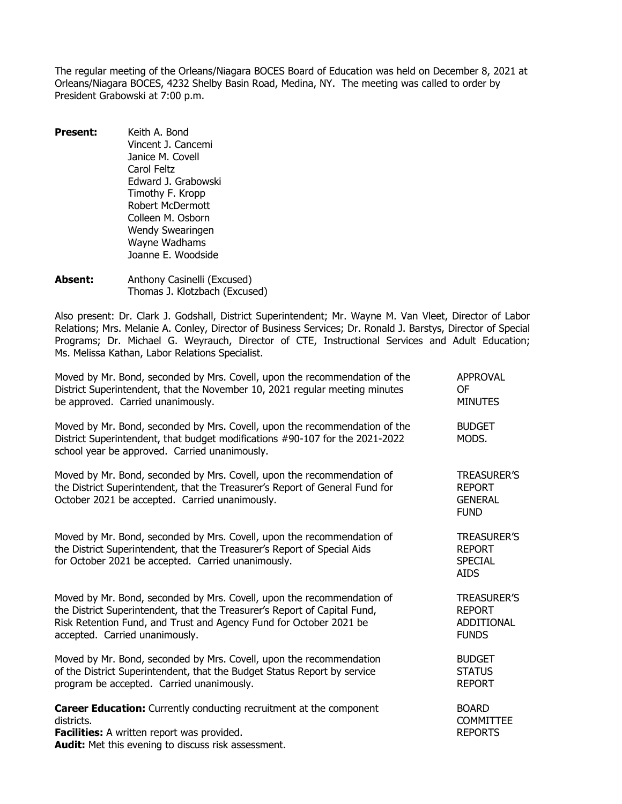The regular meeting of the Orleans/Niagara BOCES Board of Education was held on December 8, 2021 at Orleans/Niagara BOCES, 4232 Shelby Basin Road, Medina, NY. The meeting was called to order by President Grabowski at 7:00 p.m.

- **Present:** Keith A. Bond Vincent J. Cancemi Janice M. Covell Carol Feltz Edward J. Grabowski Timothy F. Kropp Robert McDermott Colleen M. Osborn Wendy Swearingen Wayne Wadhams Joanne E. Woodside
- Absent: Anthony Casinelli (Excused) Thomas J. Klotzbach (Excused)

Also present: Dr. Clark J. Godshall, District Superintendent; Mr. Wayne M. Van Vleet, Director of Labor Relations; Mrs. Melanie A. Conley, Director of Business Services; Dr. Ronald J. Barstys, Director of Special Programs; Dr. Michael G. Weyrauch, Director of CTE, Instructional Services and Adult Education; Ms. Melissa Kathan, Labor Relations Specialist.

| Moved by Mr. Bond, seconded by Mrs. Covell, upon the recommendation of the<br>District Superintendent, that the November 10, 2021 regular meeting minutes<br>be approved. Carried unanimously.                                                              | <b>APPROVAL</b><br><b>OF</b><br><b>MINUTES</b>                       |
|-------------------------------------------------------------------------------------------------------------------------------------------------------------------------------------------------------------------------------------------------------------|----------------------------------------------------------------------|
| Moved by Mr. Bond, seconded by Mrs. Covell, upon the recommendation of the<br>District Superintendent, that budget modifications #90-107 for the 2021-2022<br>school year be approved. Carried unanimously.                                                 | <b>BUDGET</b><br>MODS.                                               |
| Moved by Mr. Bond, seconded by Mrs. Covell, upon the recommendation of<br>the District Superintendent, that the Treasurer's Report of General Fund for<br>October 2021 be accepted. Carried unanimously.                                                    | <b>TREASURER'S</b><br><b>REPORT</b><br><b>GENERAL</b><br><b>FUND</b> |
| Moved by Mr. Bond, seconded by Mrs. Covell, upon the recommendation of<br>the District Superintendent, that the Treasurer's Report of Special Aids<br>for October 2021 be accepted. Carried unanimously.                                                    | <b>TREASURER'S</b><br><b>REPORT</b><br><b>SPECIAL</b><br><b>AIDS</b> |
| Moved by Mr. Bond, seconded by Mrs. Covell, upon the recommendation of<br>the District Superintendent, that the Treasurer's Report of Capital Fund,<br>Risk Retention Fund, and Trust and Agency Fund for October 2021 be<br>accepted. Carried unanimously. | <b>TREASURER'S</b><br><b>REPORT</b><br>ADDITIONAL<br><b>FUNDS</b>    |
| Moved by Mr. Bond, seconded by Mrs. Covell, upon the recommendation<br>of the District Superintendent, that the Budget Status Report by service<br>program be accepted. Carried unanimously.                                                                | <b>BUDGET</b><br><b>STATUS</b><br><b>REPORT</b>                      |
| <b>Career Education:</b> Currently conducting recruitment at the component<br>districts.<br>Facilities: A written report was provided.<br>Audit: Met this evening to discuss risk assessment.                                                               | <b>BOARD</b><br><b>COMMITTEE</b><br><b>REPORTS</b>                   |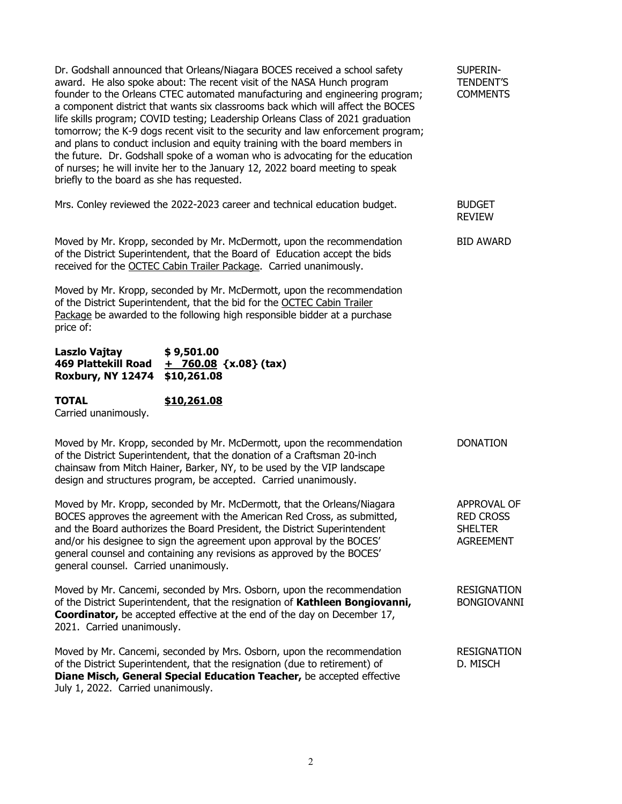Dr. Godshall announced that Orleans/Niagara BOCES received a school safety SUPERINaward. He also spoke about: The recent visit of the NASA Hunch program TENDENT'S<br>founder to the Orleans CTEC automated manufacturing and engineering program: COMMENTS founder to the Orleans CTEC automated manufacturing and engineering program; a component district that wants six classrooms back which will affect the BOCES life skills program; COVID testing; Leadership Orleans Class of 2021 graduation tomorrow; the K-9 dogs recent visit to the security and law enforcement program; and plans to conduct inclusion and equity training with the board members in the future. Dr. Godshall spoke of a woman who is advocating for the education of nurses; he will invite her to the January 12, 2022 board meeting to speak briefly to the board as she has requested.

Mrs. Conley reviewed the 2022-2023 career and technical education budget. BUDGET

Moved by Mr. Kropp, seconded by Mr. McDermott, upon the recommendation BID AWARD of the District Superintendent, that the Board of Education accept the bids received for the OCTEC Cabin Trailer Package. Carried unanimously.

Moved by Mr. Kropp, seconded by Mr. McDermott, upon the recommendation of the District Superintendent, that the bid for the OCTEC Cabin Trailer Package be awarded to the following high responsible bidder at a purchase price of:

| Laszlo Vajtay                 | \$9,501.00                   |
|-------------------------------|------------------------------|
| 469 Plattekill Road           | <u>+ 760.08</u> {x.08} (tax) |
| Roxbury, NY 12474 \$10,261.08 |                              |

**TOTAL \$10,261.08** Carried unanimously.

| Moved by Mr. Kropp, seconded by Mr. McDermott, upon the recommendation   | <b>DONATION</b> |
|--------------------------------------------------------------------------|-----------------|
| of the District Superintendent, that the donation of a Craftsman 20-inch |                 |
| chainsaw from Mitch Hainer, Barker, NY, to be used by the VIP landscape  |                 |
| design and structures program, be accepted. Carried unanimously.         |                 |

Moved by Mr. Kropp, seconded by Mr. McDermott, that the Orleans/Niagara APPROVAL OF APPROVAL OF BOCES approves the agreement with the American Red Cross. as submitted. BOCES approves the agreement with the American Red Cross, as submitted, and the Board authorizes the Board President, the District Superintendent SHELTER<br>and/or his designee to sign the agreement upon approval by the BOCES' AGREEMENT and/or his designee to sign the agreement upon approval by the BOCES' general counsel and containing any revisions as approved by the BOCES' general counsel. Carried unanimously.

Moved by Mr. Cancemi, seconded by Mrs. Osborn, upon the recommendation RESIGNATION of the District Superintendent, that the resignation of **Kathleen Bongiovanni,** BONGIOVANNI **Coordinator,** be accepted effective at the end of the day on December 17, 2021. Carried unanimously.

Moved by Mr. Cancemi, seconded by Mrs. Osborn, upon the recommendation RESIGNATION of the District Superintendent, that the resignation (due to retirement) of D. MISCH **Diane Misch, General Special Education Teacher,** be accepted effective July 1, 2022. Carried unanimously.

REVIEW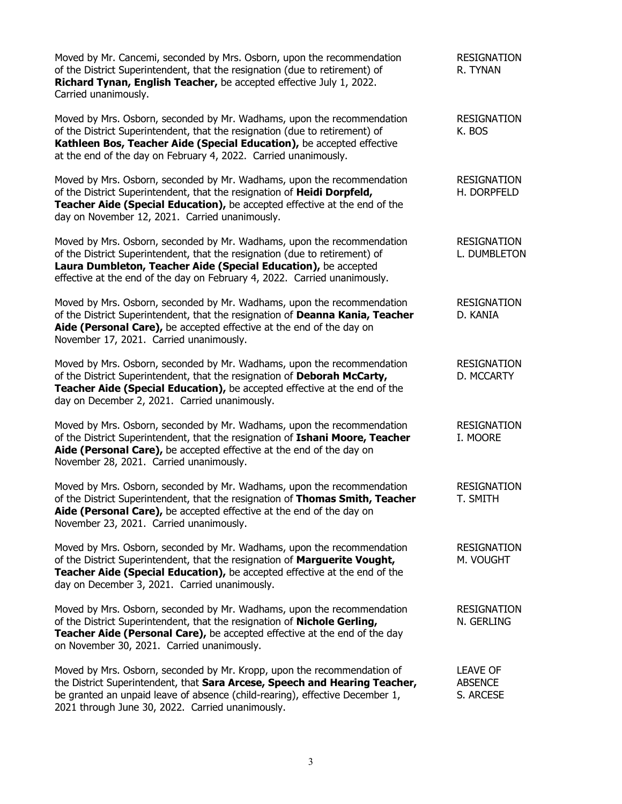| Moved by Mr. Cancemi, seconded by Mrs. Osborn, upon the recommendation<br>of the District Superintendent, that the resignation (due to retirement) of<br>Richard Tynan, English Teacher, be accepted effective July 1, 2022.<br>Carried unanimously.                                                 | <b>RESIGNATION</b><br>R. TYNAN                 |
|------------------------------------------------------------------------------------------------------------------------------------------------------------------------------------------------------------------------------------------------------------------------------------------------------|------------------------------------------------|
| Moved by Mrs. Osborn, seconded by Mr. Wadhams, upon the recommendation<br>of the District Superintendent, that the resignation (due to retirement) of<br>Kathleen Bos, Teacher Aide (Special Education), be accepted effective<br>at the end of the day on February 4, 2022. Carried unanimously.    | <b>RESIGNATION</b><br>K. BOS                   |
| Moved by Mrs. Osborn, seconded by Mr. Wadhams, upon the recommendation<br>of the District Superintendent, that the resignation of Heidi Dorpfeld,<br>Teacher Aide (Special Education), be accepted effective at the end of the<br>day on November 12, 2021. Carried unanimously.                     | <b>RESIGNATION</b><br>H. DORPFELD              |
| Moved by Mrs. Osborn, seconded by Mr. Wadhams, upon the recommendation<br>of the District Superintendent, that the resignation (due to retirement) of<br>Laura Dumbleton, Teacher Aide (Special Education), be accepted<br>effective at the end of the day on February 4, 2022. Carried unanimously. | <b>RESIGNATION</b><br>L. DUMBLETON             |
| Moved by Mrs. Osborn, seconded by Mr. Wadhams, upon the recommendation<br>of the District Superintendent, that the resignation of Deanna Kania, Teacher<br>Aide (Personal Care), be accepted effective at the end of the day on<br>November 17, 2021. Carried unanimously.                           | <b>RESIGNATION</b><br>D. KANIA                 |
| Moved by Mrs. Osborn, seconded by Mr. Wadhams, upon the recommendation<br>of the District Superintendent, that the resignation of Deborah McCarty,<br>Teacher Aide (Special Education), be accepted effective at the end of the<br>day on December 2, 2021. Carried unanimously.                     | <b>RESIGNATION</b><br>D. MCCARTY               |
| Moved by Mrs. Osborn, seconded by Mr. Wadhams, upon the recommendation<br>of the District Superintendent, that the resignation of Ishani Moore, Teacher<br>Aide (Personal Care), be accepted effective at the end of the day on<br>November 28, 2021. Carried unanimously.                           | <b>RESIGNATION</b><br>I. MOORE                 |
| Moved by Mrs. Osborn, seconded by Mr. Wadhams, upon the recommendation<br>of the District Superintendent, that the resignation of Thomas Smith, Teacher<br>Aide (Personal Care), be accepted effective at the end of the day on<br>November 23, 2021. Carried unanimously.                           | <b>RESIGNATION</b><br><b>T. SMITH</b>          |
| Moved by Mrs. Osborn, seconded by Mr. Wadhams, upon the recommendation<br>of the District Superintendent, that the resignation of Marguerite Vought,<br>Teacher Aide (Special Education), be accepted effective at the end of the<br>day on December 3, 2021. Carried unanimously.                   | <b>RESIGNATION</b><br>M. VOUGHT                |
| Moved by Mrs. Osborn, seconded by Mr. Wadhams, upon the recommendation<br>of the District Superintendent, that the resignation of Nichole Gerling,<br>Teacher Aide (Personal Care), be accepted effective at the end of the day<br>on November 30, 2021. Carried unanimously.                        | <b>RESIGNATION</b><br>N. GERLING               |
| Moved by Mrs. Osborn, seconded by Mr. Kropp, upon the recommendation of<br>the District Superintendent, that Sara Arcese, Speech and Hearing Teacher,<br>be granted an unpaid leave of absence (child-rearing), effective December 1,<br>2021 through June 30, 2022. Carried unanimously.            | <b>LEAVE OF</b><br><b>ABSENCE</b><br>S. ARCESE |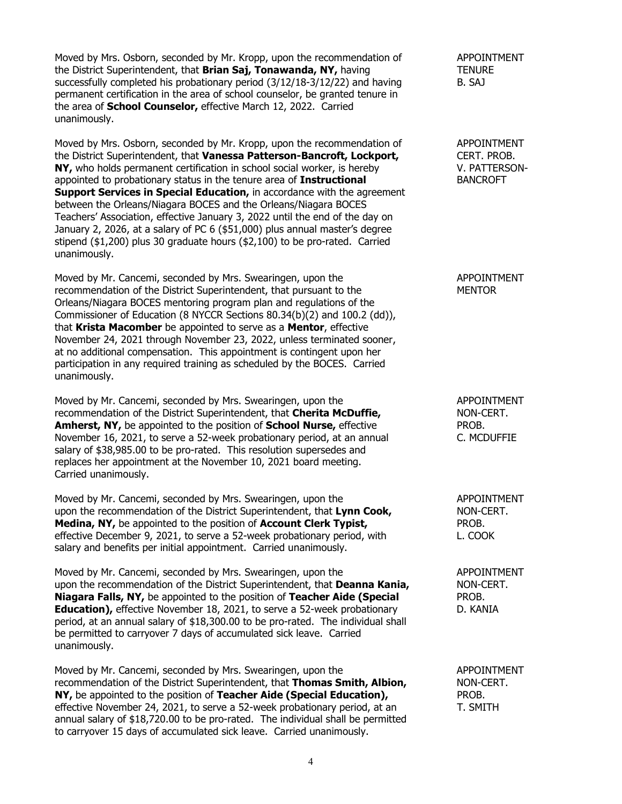Moved by Mrs. Osborn, seconded by Mr. Kropp, upon the recommendation of APPOINTMENT the District Superintendent, that **Brian Saj, Tonawanda, NY,** having TENURE successfully completed his probationary period  $(3/12/18-3/12/22)$  and having  $B. S_AJ$ permanent certification in the area of school counselor, be granted tenure in the area of **School Counselor,** effective March 12, 2022. Carried unanimously.

Moved by Mrs. Osborn, seconded by Mr. Kropp, upon the recommendation of appoint MENT<br>
the District Superintendent, that **Vanessa Patterson-Bancroft, Lockport,** CERT, PROB. the District Superintendent, that **Vanessa Patterson-Bancroft, Lockport,** CERT. PROB.<br> **NY,** who holds permanent certification in school social worker, is hereby V. PATTERSON-**NY,** who holds permanent certification in school social worker, is hereby V. PATTERS<br>appointed to probationary status in the tenure area of **Instructional** BANCROFT appointed to probationary status in the tenure area of **Instructional Support Services in Special Education, in accordance with the agreement** between the Orleans/Niagara BOCES and the Orleans/Niagara BOCES Teachers' Association, effective January 3, 2022 until the end of the day on January 2, 2026, at a salary of PC 6 (\$51,000) plus annual master's degree stipend (\$1,200) plus 30 graduate hours (\$2,100) to be pro-rated. Carried unanimously.

Moved by Mr. Cancemi, seconded by Mrs. Swearingen, upon the APPOINTMENT recommendation of the District Superintendent. that pursuant to the APPOINTMENT recommendation of the District Superintendent, that pursuant to the Orleans/Niagara BOCES mentoring program plan and regulations of the Commissioner of Education (8 NYCCR Sections 80.34(b)(2) and 100.2 (dd)), that **Krista Macomber** be appointed to serve as a **Mentor**, effective November 24, 2021 through November 23, 2022, unless terminated sooner, at no additional compensation. This appointment is contingent upon her participation in any required training as scheduled by the BOCES. Carried unanimously.

Moved by Mr. Cancemi, seconded by Mrs. Swearingen, upon the APPOINTMENT APPOINTMENT recommendation of the District Superintendent. that **Cherita McDuffie.** ADDN-CERT. recommendation of the District Superintendent, that **Cherita McDuffie,** NON-C<br> **Amherst, NY**, be appointed to the position of **School Nurse**, effective **NUTER PROB. Amherst, NY, be appointed to the position of School Nurse, effective** November 16, 2021, to serve a 52-week probationary period, at an annual C. MCDUFFIE salary of \$38,985.00 to be pro-rated. This resolution supersedes and replaces her appointment at the November 10, 2021 board meeting. Carried unanimously.

Moved by Mr. Cancemi, seconded by Mrs. Swearingen, upon the APPOINTMENT upon the recommendation of the District Superintendent, that **Lynn Cook,** NON-CERT. **Medina, NY,** be appointed to the position of **Account Clerk Typist,** PROB. PROB.<br>
effective December 9, 2021, to serve a 52-week probationary period, with L. COOK effective December 9, 2021, to serve a 52-week probationary period, with salary and benefits per initial appointment. Carried unanimously.

Moved by Mr. Cancemi, seconded by Mrs. Swearingen, upon the APPOINTMENT upon the recommendation of the District Superintendent, that **Deanna Kania,** NON-CERT. **Niagara Falls, NY,** be appointed to the position of **Teacher Aide (Special** PROB.<br> **Education),** effective November 18, 2021, to serve a 52-week probationary D. KANIA **Education),** effective November 18, 2021, to serve a 52-week probationary period, at an annual salary of \$18,300.00 to be pro-rated. The individual shall be permitted to carryover 7 days of accumulated sick leave. Carried unanimously.

Moved by Mr. Cancemi, seconded by Mrs. Swearingen, upon the **APPOINTMENT** recommendation of the District Superintendent, that **Thomas Smith, Albion,** NON-CERT. recommendation of the District Superintendent, that **Thomas Smith, Albion,** NON-C<br> **NY**, be appointed to the position of **Teacher Aide (Special Education)**. PROB. **NY**, be appointed to the position of **Teacher Aide (Special Education)**, effective November 24, 2021, to serve a 52-week probationary period, at an T. SMITH annual salary of \$18,720.00 to be pro-rated. The individual shall be permitted to carryover 15 days of accumulated sick leave. Carried unanimously.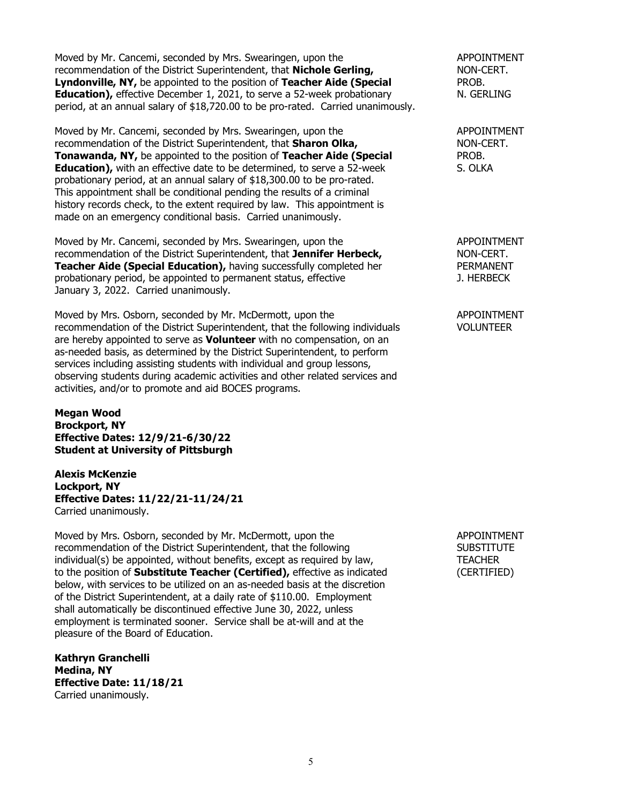Moved by Mr. Cancemi, seconded by Mrs. Swearingen, upon the APPOINTMENT recommendation of the District Superintendent, that **Nichole Gerling,** NON-CERT. **Lyndonville, NY,** be appointed to the position of **Teacher Aide (Special** PROB. PROB.<br> **Education**), effective December 1, 2021, to serve a 52-week probationary PROB. N. GERLING **Education),** effective December 1, 2021, to serve a 52-week probationary period, at an annual salary of \$18,720.00 to be pro-rated. Carried unanimously.

Moved by Mr. Cancemi, seconded by Mrs. Swearingen, upon the APPOINTMENT recommendation of the District Superintendent, that **Sharon Olka,** Nonethelm MON-CERT.<br> **Tonawanda, NY**, be appointed to the position of **Teacher Aide (Special** PROB. **Tonawanda, NY,** be appointed to the position of **Teacher Aide (Special** PROB.<br> **Education)**, with an effective date to be determined, to serve a 52-week S. OLKA **Education),** with an effective date to be determined, to serve a 52-week probationary period, at an annual salary of \$18,300.00 to be pro-rated. This appointment shall be conditional pending the results of a criminal history records check, to the extent required by law. This appointment is made on an emergency conditional basis. Carried unanimously.

Moved by Mr. Cancemi, seconded by Mrs. Swearingen, upon the APPOINTMENT recommendation of the District Superintendent, that **Jennifer Herbeck,** NON-CERT. **Teacher Aide (Special Education),** having successfully completed her PERMANENT probationary period, be appointed to permanent status, effective **PERMANENT** probationary period, be appointed to permanent status, effective January 3, 2022. Carried unanimously.

Moved by Mrs. Osborn, seconded by Mr. McDermott, upon the APPOINTMENT recommendation of the District Superintendent, that the following individuals VOLUNTEER are hereby appointed to serve as **Volunteer** with no compensation, on an as-needed basis, as determined by the District Superintendent, to perform services including assisting students with individual and group lessons, observing students during academic activities and other related services and activities, and/or to promote and aid BOCES programs.

**Megan Wood Brockport, NY Effective Dates: 12/9/21-6/30/22 Student at University of Pittsburgh**

**Alexis McKenzie Lockport, NY Effective Dates: 11/22/21-11/24/21** Carried unanimously.

Moved by Mrs. Osborn, seconded by Mr. McDermott, upon the APPOINTMENT recommendation of the District Superintendent, that the following SUBSTITUTE recommendation of the District Superintendent, that the following  $individual(s)$  be appointed, without benefits, except as required by law,  $T_{L}$  TEACHER to the position of **Substitute Teacher (Certified),** effective as indicated (CERTIFIED) below, with services to be utilized on an as-needed basis at the discretion of the District Superintendent, at a daily rate of \$110.00. Employment shall automatically be discontinued effective June 30, 2022, unless employment is terminated sooner. Service shall be at-will and at the pleasure of the Board of Education.

**Kathryn Granchelli Medina, NY Effective Date: 11/18/21** Carried unanimously.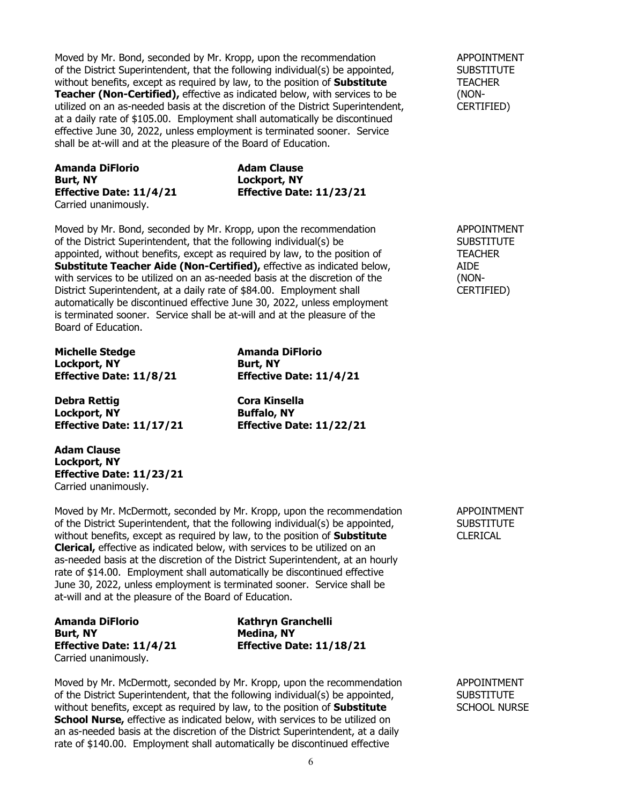Moved by Mr. Bond, seconded by Mr. Kropp, upon the recommendation APPOINTMENT of the District Superintendent, that the following individual(s) be appointed, SUBSTITUTE without benefits, except as required by law, to the position of **Substitute** TEACHER **Teacher (Non-Certified),** effective as indicated below, with services to be (NONutilized on an as-needed basis at the discretion of the District Superintendent, CERTIFIED) at a daily rate of \$105.00. Employment shall automatically be discontinued effective June 30, 2022, unless employment is terminated sooner. Service shall be at-will and at the pleasure of the Board of Education.

**Amanda DiFlorio Adam Clause**<br> **Adam Clause**<br> **Adam Clause**<br> **Adam Clause** Carried unanimously.

**Burt, NY Lockport, NY Effective Date: 11/4/21 Effective Date: 11/23/21**

Moved by Mr. Bond, seconded by Mr. Kropp, upon the recommendation APPOINTMENT of the District Superintendent, that the following individual(s) be SUBSTITUTE appointed, without benefits, except as required by law, to the position of TEACHER **Substitute Teacher Aide (Non-Certified),** effective as indicated below, AIDE with services to be utilized on an as-needed basis at the discretion of the  $\blacksquare$  (NONwith services to be utilized on an as-needed basis at the discretion of the (NON-<br>District Superintendent, at a daily rate of \$84.00. Employment shall cERTIFIED) District Superintendent, at a daily rate of \$84.00. Employment shall automatically be discontinued effective June 30, 2022, unless employment is terminated sooner. Service shall be at-will and at the pleasure of the Board of Education.

**Michelle Stedge Amanda DiFlorio Lockport, NY Burt, NY Effective Date: 11/8/21 Effective Date: 11/4/21**

**Debra Rettig**<br> **Cora Kinsella**<br> **Cora Kinsella**<br> **Cora Kinsella Lockport, NY**<br>**Effective Date: 11/17/21 Buffalo, NY**<br>**Effective Date: 11/22/21 Effective Date: 11/17/21 Effective Date: 11/22/21**

**Adam Clause Lockport, NY Effective Date: 11/23/21** Carried unanimously.

Moved by Mr. McDermott, seconded by Mr. Kropp, upon the recommendation APPOINTMENT of the District Superintendent, that the following individual(s) be appointed, SUBSTITUTE<br>without benefits, except as required by law, to the position of **Substitute** CLERICAL without benefits, except as required by law, to the position of **Substitute Clerical,** effective as indicated below, with services to be utilized on an as-needed basis at the discretion of the District Superintendent, at an hourly rate of \$14.00. Employment shall automatically be discontinued effective June 30, 2022, unless employment is terminated sooner. Service shall be at-will and at the pleasure of the Board of Education.

**Amanda DiFlorio Kathryn Granchelli Burt, NY Medina, NY** Carried unanimously.

**Effective Date: 11/4/21 Effective Date: 11/18/21**

Moved by Mr. McDermott, seconded by Mr. Kropp, upon the recommendation APPOINTMENT of the District Superintendent, that the following individual(s) be appointed, SUBSTITUTE without benefits, except as required by law, to the position of **Substitute** SCHOOL NURSE School Nurse, effective as indicated below, with services to be utilized on an as-needed basis at the discretion of the District Superintendent, at a daily rate of \$140.00. Employment shall automatically be discontinued effective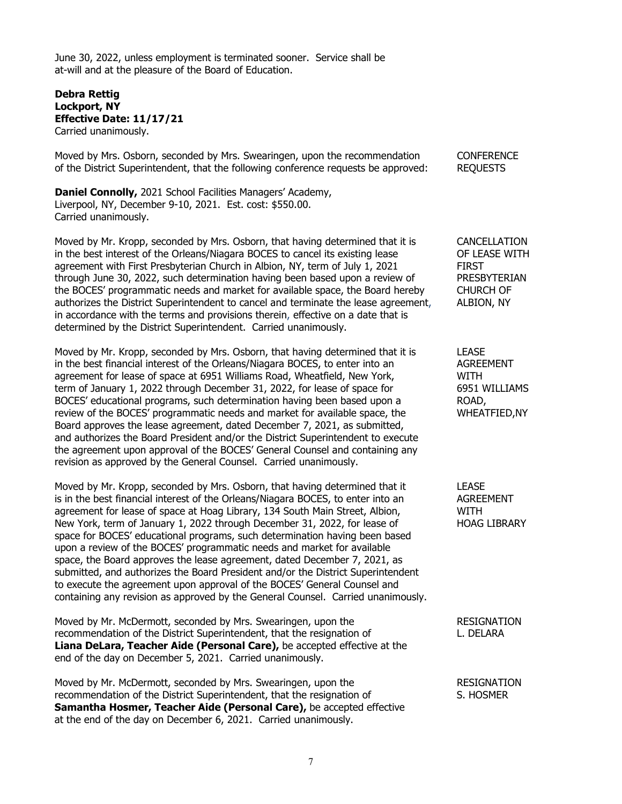June 30, 2022, unless employment is terminated sooner. Service shall be at-will and at the pleasure of the Board of Education.

## **Debra Rettig Lockport, NY Effective Date: 11/17/21** Carried unanimously.

Moved by Mrs. Osborn, seconded by Mrs. Swearingen, upon the recommendation CONFERENCE<br>of the District Superintendent, that the following conference requests be approved: REOUESTS of the District Superintendent, that the following conference requests be approved:

**Daniel Connolly,** 2021 School Facilities Managers' Academy, Liverpool, NY, December 9-10, 2021. Est. cost: \$550.00. Carried unanimously.

Moved by Mr. Kropp, seconded by Mrs. Osborn, that having determined that it is CANCELLATION in the best interest of the Orleans/Niagara BOCES to cancel its existing lease OF LEASE WITH agreement with First Presbyterian Church in Albion, NY, term of July 1, 2021 FIRST FIRST<br>through June 30, 2022, such determination having been based upon a review of PRESBYTERIAN through June 30, 2022, such determination having been based upon a review of PRESBYTERI<br>The BOCES' programmatic needs and market for available space, the Board hereby CHURCH OF the BOCES' programmatic needs and market for available space, the Board hereby CHURCH OF authorizes the District Superintendent to cancel and terminate the lease agreement, ALBION, NY authorizes the District Superintendent to cancel and terminate the lease agreement, in accordance with the terms and provisions therein, effective on a date that is determined by the District Superintendent. Carried unanimously.

Moved by Mr. Kropp, seconded by Mrs. Osborn, that having determined that it is LEASE in the best financial interest of the Orleans/Niagara BOCES, to enter into an AGREEMENT agreement for lease of space at 6951 Williams Road, Wheatfield, New York, WITH term of January 1, 2022 through December 31, 2022, for lease of space for 6951 WILLIAMS BOCES' educational programs, such determination having been based upon a ROAD,<br>
review of the BOCES' programmatic needs and market for available space, the WHEATFIED, NY review of the BOCES' programmatic needs and market for available space, the Board approves the lease agreement, dated December 7, 2021, as submitted, and authorizes the Board President and/or the District Superintendent to execute the agreement upon approval of the BOCES' General Counsel and containing any revision as approved by the General Counsel. Carried unanimously.

Moved by Mr. Kropp, seconded by Mrs. Osborn, that having determined that it LEASE is in the best financial interest of the Orleans/Niagara BOCES, to enter into an AGREEMENT agreement for lease of space at Hoag Library, 134 South Main Street, Albion, WITH WITH<br>New York. term of January 1. 2022 through December 31, 2022, for lease of WAGG LIBRARY New York, term of January 1, 2022 through December 31, 2022, for lease of space for BOCES' educational programs, such determination having been based upon a review of the BOCES' programmatic needs and market for available space, the Board approves the lease agreement, dated December 7, 2021, as submitted, and authorizes the Board President and/or the District Superintendent to execute the agreement upon approval of the BOCES' General Counsel and containing any revision as approved by the General Counsel. Carried unanimously.

Moved by Mr. McDermott, seconded by Mrs. Swearingen, upon the RESIGNATION recommendation of the District Superintendent, that the resignation of The Muslim L. DELARA **Liana DeLara, Teacher Aide (Personal Care),** be accepted effective at the end of the day on December 5, 2021. Carried unanimously.

Moved by Mr. McDermott, seconded by Mrs. Swearingen, upon the RESIGNATION recommendation of the District Superintendent, that the resignation of S. HOSMER **Samantha Hosmer, Teacher Aide (Personal Care),** be accepted effective at the end of the day on December 6, 2021. Carried unanimously.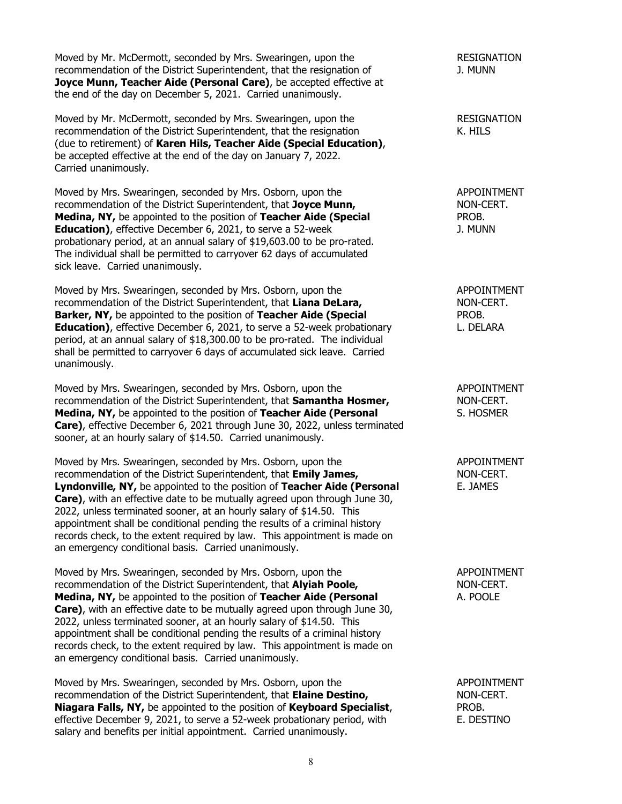Moved by Mr. McDermott, seconded by Mrs. Swearingen, upon the RESIGNATION recommendation of the District Superintendent, that the resignation of J. MUNN **Joyce Munn, Teacher Aide (Personal Care)**, be accepted effective at the end of the day on December 5, 2021. Carried unanimously.

Moved by Mr. McDermott, seconded by Mrs. Swearingen, upon the RESIGNATION recommendation of the District Superintendent, that the resignation Theorem C. HILS (due to retirement) of **Karen Hils, Teacher Aide (Special Education)**, be accepted effective at the end of the day on January 7, 2022. Carried unanimously.

Moved by Mrs. Swearingen, seconded by Mrs. Osborn, upon the APPOINTMENT recommendation of the District Superintendent, that **Joyce Munn,** NON-CERT. **Medina, NY,** be appointed to the position of **Teacher Aide (Special** PROB. PROB.<br> **Education**), effective December 6, 2021, to serve a 52-week **Prophet Containst 1. MUNN Education)**, effective December 6, 2021, to serve a 52-week probationary period, at an annual salary of \$19,603.00 to be pro-rated. The individual shall be permitted to carryover 62 days of accumulated sick leave. Carried unanimously.

Moved by Mrs. Swearingen, seconded by Mrs. Osborn, upon the APPOINTMENT recommendation of the District Superintendent, that Liana DeLara, recommendation of the District Superintendent, that Liana DeLara, **Barker, NY,** be appointed to the position of **Teacher Aide (Special** PROB. **Education)**, effective December 6, 2021, to serve a 52-week probationary L. DELARA period, at an annual salary of \$18,300.00 to be pro-rated. The individual shall be permitted to carryover 6 days of accumulated sick leave. Carried unanimously.

Moved by Mrs. Swearingen, seconded by Mrs. Osborn, upon the APPOINTMENT recommendation of the District Superintendent, that **Samantha Hosmer,** NON-CERT.<br> **Medina, NY**, be appointed to the position of **Teacher Aide (Personal** S. HOSMER **Medina, NY, be appointed to the position of Teacher Aide (Personal and A) Care)**, effective December 6, 2021 through June 30, 2022, unless terminated sooner, at an hourly salary of \$14.50. Carried unanimously.

Moved by Mrs. Swearingen, seconded by Mrs. Osborn, upon the APPOINTMENT recommendation of the District Superintendent, that **Emily James,** NON-CERT. **Lyndonville, NY,** be appointed to the position of **Teacher Aide (Personal** E. JAMES **Care)**, with an effective date to be mutually agreed upon through June 30, 2022, unless terminated sooner, at an hourly salary of \$14.50. This appointment shall be conditional pending the results of a criminal history records check, to the extent required by law. This appointment is made on an emergency conditional basis. Carried unanimously.

Moved by Mrs. Swearingen, seconded by Mrs. Osborn, upon the APPOINTMENT recommendation of the District Superintendent, that **Alyiah Poole,** NON-CERT. **Medina, NY, be appointed to the position of <b>Teacher Aide (Personal** A. POOLE **Care)**, with an effective date to be mutually agreed upon through June 30, 2022, unless terminated sooner, at an hourly salary of \$14.50. This appointment shall be conditional pending the results of a criminal history records check, to the extent required by law. This appointment is made on an emergency conditional basis. Carried unanimously.

Moved by Mrs. Swearingen, seconded by Mrs. Osborn, upon the APPOINTMENT recommendation of the District Superintendent, that **Elaine Destino,** NON-CERT. **Niagara Falls, NY,** be appointed to the position of **Keyboard Specialist**, PROB.<br>effective December 9, 2021, to serve a 52-week probationary period, with FR DESTINO effective December 9, 2021, to serve a 52-week probationary period, with salary and benefits per initial appointment. Carried unanimously.